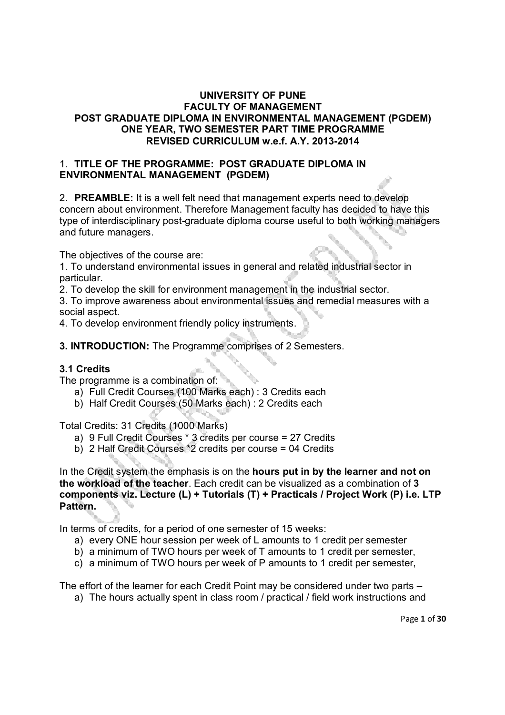## **UNIVERSITY OF PUNE FACULTY OF MANAGEMENT POST GRADUATE DIPLOMA IN ENVIRONMENTAL MANAGEMENT (PGDEM) ONE YEAR, TWO SEMESTER PART TIME PROGRAMME REVISED CURRICULUM w.e.f. A.Y. 2013-2014**

## 1. **TITLE OF THE PROGRAMME: POST GRADUATE DIPLOMA IN ENVIRONMENTAL MANAGEMENT (PGDEM)**

2. **PREAMBLE:** It is a well felt need that management experts need to develop concern about environment. Therefore Management faculty has decided to have this type of interdisciplinary post-graduate diploma course useful to both working managers and future managers.

The objectives of the course are:

1. To understand environmental issues in general and related industrial sector in particular.

2. To develop the skill for environment management in the industrial sector.

3. To improve awareness about environmental issues and remedial measures with a social aspect.

4. To develop environment friendly policy instruments.

**3. INTRODUCTION:** The Programme comprises of 2 Semesters.

## **3.1 Credits**

The programme is a combination of:

- a) Full Credit Courses (100 Marks each) : 3 Credits each
- b) Half Credit Courses (50 Marks each) : 2 Credits each

Total Credits: 31 Credits (1000 Marks)

- a) 9 Full Credit Courses \* 3 credits per course = 27 Credits
- b) 2 Half Credit Courses \*2 credits per course = 04 Credits

In the Credit system the emphasis is on the **hours put in by the learner and not on the workload of the teacher**. Each credit can be visualized as a combination of **3 components viz. Lecture (L) + Tutorials (T) + Practicals / Project Work (P) i.e. LTP Pattern.** 

In terms of credits, for a period of one semester of 15 weeks:

- a) every ONE hour session per week of L amounts to 1 credit per semester
- b) a minimum of TWO hours per week of T amounts to 1 credit per semester,
- c) a minimum of TWO hours per week of P amounts to 1 credit per semester,

The effort of the learner for each Credit Point may be considered under two parts –

a) The hours actually spent in class room / practical / field work instructions and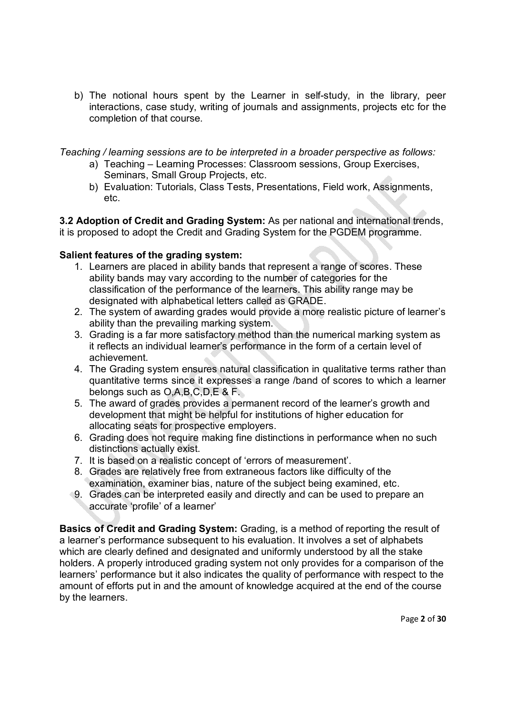b) The notional hours spent by the Learner in self-study, in the library, peer interactions, case study, writing of journals and assignments, projects etc for the completion of that course.

*Teaching / learning sessions are to be interpreted in a broader perspective as follows:* 

- a) Teaching Learning Processes: Classroom sessions, Group Exercises, Seminars, Small Group Projects, etc.
- b) Evaluation: Tutorials, Class Tests, Presentations, Field work, Assignments, etc.

**3.2 Adoption of Credit and Grading System:** As per national and international trends, it is proposed to adopt the Credit and Grading System for the PGDEM programme.

## **Salient features of the grading system:**

- 1. Learners are placed in ability bands that represent a range of scores. These ability bands may vary according to the number of categories for the classification of the performance of the learners. This ability range may be designated with alphabetical letters called as GRADE.
- 2. The system of awarding grades would provide a more realistic picture of learner's ability than the prevailing marking system.
- 3. Grading is a far more satisfactory method than the numerical marking system as it reflects an individual learner's performance in the form of a certain level of achievement.
- 4. The Grading system ensures natural classification in qualitative terms rather than quantitative terms since it expresses a range /band of scores to which a learner belongs such as O,A,B,C,D,E & F.
- 5. The award of grades provides a permanent record of the learner's growth and development that might be helpful for institutions of higher education for allocating seats for prospective employers.
- 6. Grading does not require making fine distinctions in performance when no such distinctions actually exist.
- 7. It is based on a realistic concept of 'errors of measurement'.
- 8. Grades are relatively free from extraneous factors like difficulty of the examination, examiner bias, nature of the subject being examined, etc.
- 9. Grades can be interpreted easily and directly and can be used to prepare an accurate 'profile' of a learner'

**Basics of Credit and Grading System:** Grading, is a method of reporting the result of a learner's performance subsequent to his evaluation. It involves a set of alphabets which are clearly defined and designated and uniformly understood by all the stake holders. A properly introduced grading system not only provides for a comparison of the learners' performance but it also indicates the quality of performance with respect to the amount of efforts put in and the amount of knowledge acquired at the end of the course by the learners.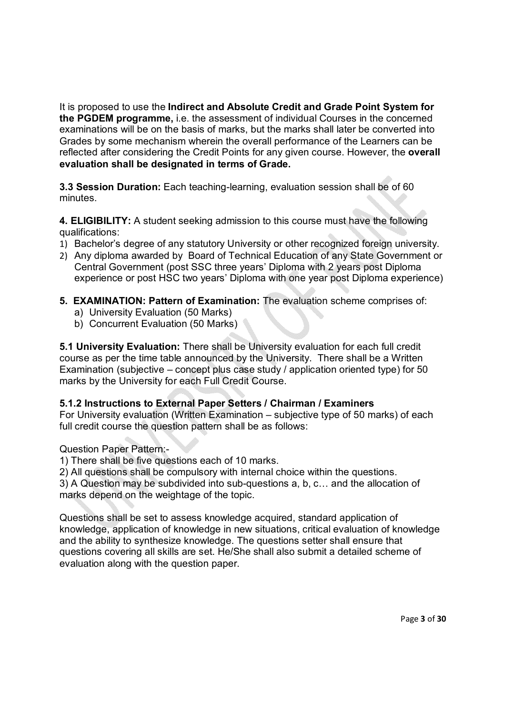It is proposed to use the **Indirect and Absolute Credit and Grade Point System for the PGDEM programme,** i.e. the assessment of individual Courses in the concerned examinations will be on the basis of marks, but the marks shall later be converted into Grades by some mechanism wherein the overall performance of the Learners can be reflected after considering the Credit Points for any given course. However, the **overall evaluation shall be designated in terms of Grade.**

**3.3 Session Duration:** Each teaching-learning, evaluation session shall be of 60 minutes.

**4. ELIGIBILITY:** A student seeking admission to this course must have the following qualifications:

- 1) Bachelor's degree of any statutory University or other recognized foreign university.
- 2) Any diploma awarded by Board of Technical Education of any State Government or Central Government (post SSC three years' Diploma with 2 years post Diploma experience or post HSC two years' Diploma with one year post Diploma experience)
- **5. EXAMINATION: Pattern of Examination:** The evaluation scheme comprises of:
	- a) University Evaluation (50 Marks)
	- b) Concurrent Evaluation (50 Marks)

**5.1 University Evaluation:** There shall be University evaluation for each full credit course as per the time table announced by the University. There shall be a Written Examination (subjective – concept plus case study / application oriented type) for 50 marks by the University for each Full Credit Course.

## **5.1.2 Instructions to External Paper Setters / Chairman / Examiners**

For University evaluation (Written Examination – subjective type of 50 marks) of each full credit course the question pattern shall be as follows:

Question Paper Pattern:-

1) There shall be five questions each of 10 marks.

2) All questions shall be compulsory with internal choice within the questions.

3) A Question may be subdivided into sub-questions a, b, c… and the allocation of marks depend on the weightage of the topic.

Questions shall be set to assess knowledge acquired, standard application of knowledge, application of knowledge in new situations, critical evaluation of knowledge and the ability to synthesize knowledge. The questions setter shall ensure that questions covering all skills are set. He/She shall also submit a detailed scheme of evaluation along with the question paper.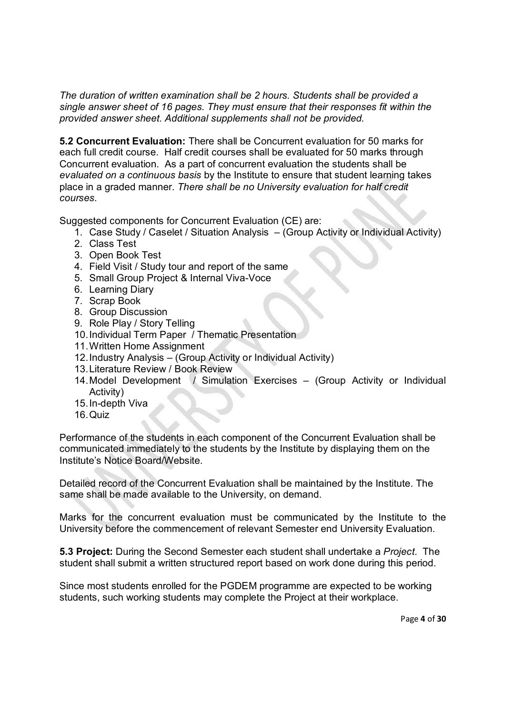*The duration of written examination shall be 2 hours. Students shall be provided a single answer sheet of 16 pages. They must ensure that their responses fit within the provided answer sheet. Additional supplements shall not be provided.*

**5.2 Concurrent Evaluation:** There shall be Concurrent evaluation for 50 marks for each full credit course. Half credit courses shall be evaluated for 50 marks through Concurrent evaluation. As a part of concurrent evaluation the students shall be *evaluated on a continuous basis* by the Institute to ensure that student learning takes place in a graded manner. *There shall be no University evaluation for half credit courses*.

Suggested components for Concurrent Evaluation (CE) are:

- 1. Case Study / Caselet / Situation Analysis (Group Activity or Individual Activity)
- 2. Class Test
- 3. Open Book Test
- 4. Field Visit / Study tour and report of the same
- 5. Small Group Project & Internal Viva-Voce
- 6. Learning Diary
- 7. Scrap Book
- 8. Group Discussion
- 9. Role Play / Story Telling
- 10.Individual Term Paper / Thematic Presentation
- 11.Written Home Assignment
- 12.Industry Analysis (Group Activity or Individual Activity)
- 13.Literature Review / Book Review
- 14.Model Development / Simulation Exercises (Group Activity or Individual Activity)
- 15.In-depth Viva
- 16.Quiz

Performance of the students in each component of the Concurrent Evaluation shall be communicated immediately to the students by the Institute by displaying them on the Institute's Notice Board/Website.

Detailed record of the Concurrent Evaluation shall be maintained by the Institute. The same shall be made available to the University, on demand.

Marks for the concurrent evaluation must be communicated by the Institute to the University before the commencement of relevant Semester end University Evaluation.

**5.3 Project:** During the Second Semester each student shall undertake a *Project*. The student shall submit a written structured report based on work done during this period.

Since most students enrolled for the PGDEM programme are expected to be working students, such working students may complete the Project at their workplace.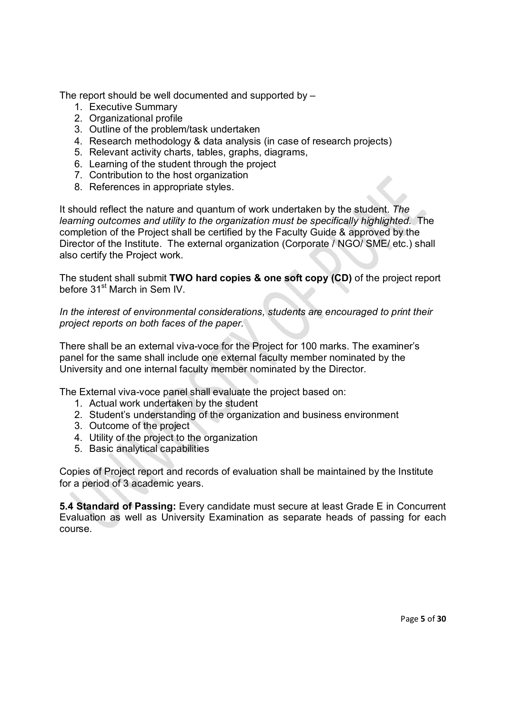The report should be well documented and supported by –

- 1. Executive Summary
- 2. Organizational profile
- 3. Outline of the problem/task undertaken
- 4. Research methodology & data analysis (in case of research projects)
- 5. Relevant activity charts, tables, graphs, diagrams,
- 6. Learning of the student through the project
- 7. Contribution to the host organization
- 8. References in appropriate styles.

It should reflect the nature and quantum of work undertaken by the student. *The learning outcomes and utility to the organization must be specifically highlighted.* The completion of the Project shall be certified by the Faculty Guide & approved by the Director of the Institute. The external organization (Corporate / NGO/ SME/ etc.) shall also certify the Project work.

The student shall submit **TWO hard copies & one soft copy (CD)** of the project report before 31<sup>st</sup> March in Sem IV.

*In the interest of environmental considerations, students are encouraged to print their project reports on both faces of the paper.*

There shall be an external viva-voce for the Project for 100 marks. The examiner's panel for the same shall include one external faculty member nominated by the University and one internal faculty member nominated by the Director.

The External viva-voce panel shall evaluate the project based on:

- 1. Actual work undertaken by the student
- 2. Student's understanding of the organization and business environment
- 3. Outcome of the project
- 4. Utility of the project to the organization
- 5. Basic analytical capabilities

Copies of Project report and records of evaluation shall be maintained by the Institute for a period of 3 academic years.

**5.4 Standard of Passing:** Every candidate must secure at least Grade E in Concurrent Evaluation as well as University Examination as separate heads of passing for each course.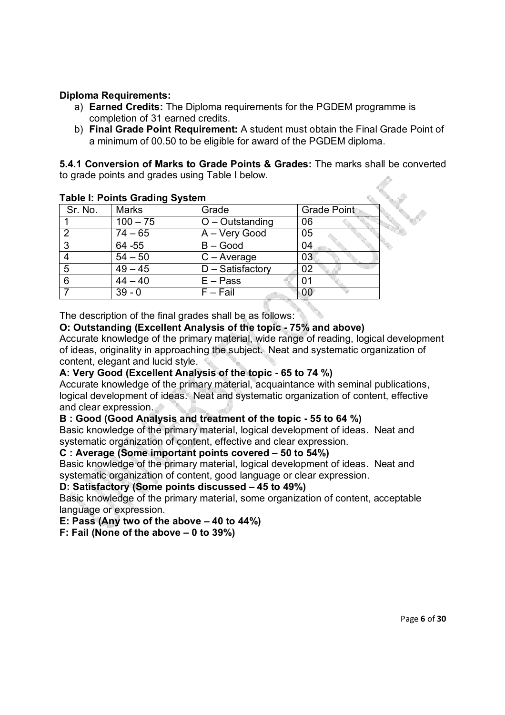## **Diploma Requirements:**

- a) **Earned Credits:** The Diploma requirements for the PGDEM programme is completion of 31 earned credits.
- b) **Final Grade Point Requirement:** A student must obtain the Final Grade Point of a minimum of 00.50 to be eligible for award of the PGDEM diploma.

**5.4.1 Conversion of Marks to Grade Points & Grades:** The marks shall be converted to grade points and grades using Table I below.

| rapic in romas Crading Cystem |                     |                    |  |  |
|-------------------------------|---------------------|--------------------|--|--|
| Marks                         | Grade               | <b>Grade Point</b> |  |  |
| $100 - 75$                    | $O$ – Outstanding   | 06                 |  |  |
| $74 - 65$                     | A - Very Good       | 05                 |  |  |
| 64 - 55                       | $B - Good$          | 04                 |  |  |
| $54 - 50$                     | $C - Average$       | 03                 |  |  |
| $49 - 45$                     | $D - S$ atisfactory | 02                 |  |  |
| $44 - 40$                     | $E - Pass$          | 01                 |  |  |
| $39 - 0$                      | $F - Fail$          | OC                 |  |  |
|                               |                     |                    |  |  |

## **Table I: Points Grading System**

The description of the final grades shall be as follows:

## **O: Outstanding (Excellent Analysis of the topic - 75% and above)**

Accurate knowledge of the primary material, wide range of reading, logical development of ideas, originality in approaching the subject. Neat and systematic organization of content, elegant and lucid style.

## **A: Very Good (Excellent Analysis of the topic - 65 to 74 %)**

Accurate knowledge of the primary material, acquaintance with seminal publications, logical development of ideas. Neat and systematic organization of content, effective and clear expression.

#### **B : Good (Good Analysis and treatment of the topic - 55 to 64 %)**

Basic knowledge of the primary material, logical development of ideas. Neat and systematic organization of content, effective and clear expression.

#### **C : Average (Some important points covered – 50 to 54%)**

Basic knowledge of the primary material, logical development of ideas. Neat and systematic organization of content, good language or clear expression.

#### **D: Satisfactory (Some points discussed – 45 to 49%)**

Basic knowledge of the primary material, some organization of content, acceptable language or expression.

#### **E: Pass (Any two of the above – 40 to 44%)**

#### **F: Fail (None of the above – 0 to 39%)**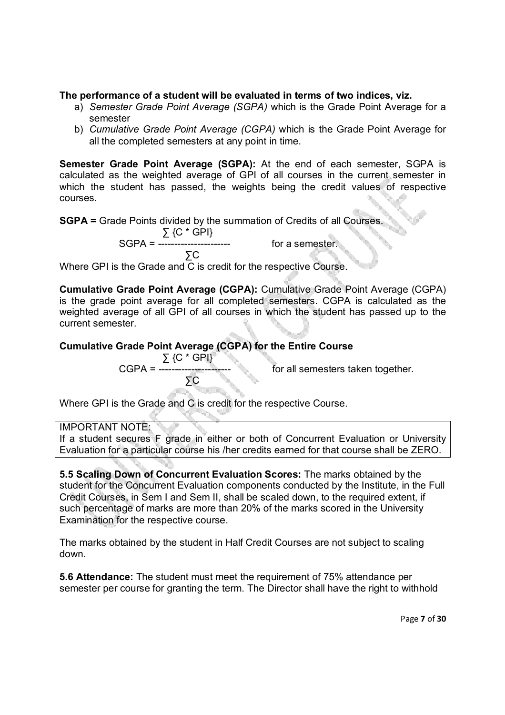## **The performance of a student will be evaluated in terms of two indices, viz.**

- a) *Semester Grade Point Average (SGPA)* which is the Grade Point Average for a semester
- b) *Cumulative Grade Point Average (CGPA)* which is the Grade Point Average for all the completed semesters at any point in time.

**Semester Grade Point Average (SGPA):** At the end of each semester, SGPA is calculated as the weighted average of GPI of all courses in the current semester in which the student has passed, the weights being the credit values of respective courses.

**SGPA =** Grade Points divided by the summation of Credits of all Courses.

 $\Sigma$  {C  $^{\star}$  GPI} SGPA =  $\frac{1}{2}$  =  $\frac{1}{2}$  =  $\frac{1}{2}$  =  $\frac{1}{2}$  =  $\frac{1}{2}$  =  $\frac{1}{2}$  =  $\frac{1}{2}$  =  $\frac{1}{2}$  =  $\frac{1}{2}$  =  $\frac{1}{2}$  =  $\frac{1}{2}$  =  $\frac{1}{2}$  =  $\frac{1}{2}$  =  $\frac{1}{2}$  =  $\frac{1}{2}$  =  $\frac{1}{2}$  =  $\frac{1}{2}$  =  $\frac{1}{2}$  =

 ∑C Where GPI is the Grade and C is credit for the respective Course.

**Cumulative Grade Point Average (CGPA):** Cumulative Grade Point Average (CGPA) is the grade point average for all completed semesters. CGPA is calculated as the weighted average of all GPI of all courses in which the student has passed up to the current semester.

## **Cumulative Grade Point Average (CGPA) for the Entire Course**

 ∑ {C \* GPI} ∑C

for all semesters taken together.

Where GPI is the Grade and C is credit for the respective Course.

IMPORTANT NOTE:

If a student secures F grade in either or both of Concurrent Evaluation or University Evaluation for a particular course his /her credits earned for that course shall be ZERO.

**5.5 Scaling Down of Concurrent Evaluation Scores:** The marks obtained by the student for the Concurrent Evaluation components conducted by the Institute, in the Full Credit Courses, in Sem I and Sem II, shall be scaled down, to the required extent, if such percentage of marks are more than 20% of the marks scored in the University Examination for the respective course.

The marks obtained by the student in Half Credit Courses are not subject to scaling down.

**5.6 Attendance:** The student must meet the requirement of 75% attendance per semester per course for granting the term. The Director shall have the right to withhold

Page **7** of **30**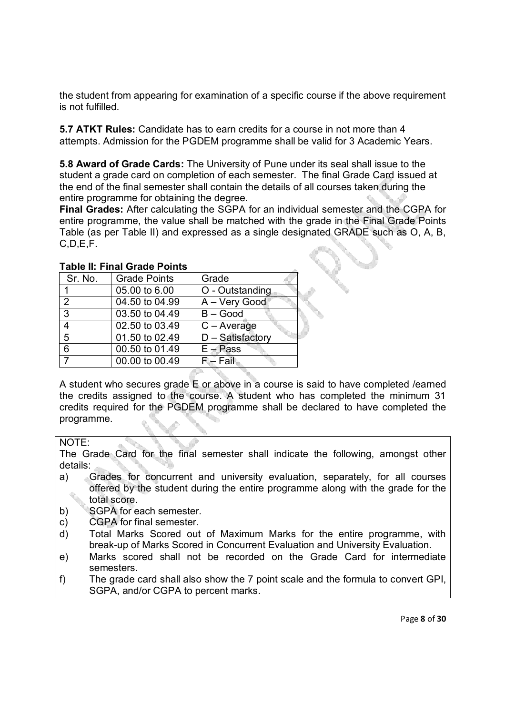the student from appearing for examination of a specific course if the above requirement is not fulfilled.

**5.7 ATKT Rules:** Candidate has to earn credits for a course in not more than 4 attempts. Admission for the PGDEM programme shall be valid for 3 Academic Years.

**5.8 Award of Grade Cards:** The University of Pune under its seal shall issue to the student a grade card on completion of each semester. The final Grade Card issued at the end of the final semester shall contain the details of all courses taken during the entire programme for obtaining the degree.

**Final Grades:** After calculating the SGPA for an individual semester and the CGPA for entire programme, the value shall be matched with the grade in the Final Grade Points Table (as per Table II) and expressed as a single designated GRADE such as O, A, B, C,D,E,F.

| Sr. No.        | <b>Grade Points</b> | Grade            |
|----------------|---------------------|------------------|
|                | 05.00 to 6.00       | O - Outstanding  |
| 2              | 04.50 to 04.99      | A - Very Good    |
| $\overline{3}$ | 03.50 to 04.49      | $B - Good$       |
| 4              | 02.50 to 03.49      | $C - Average$    |
| 5              | 01.50 to 02.49      | D - Satisfactory |
| 6              | 00.50 to 01.49      | $E - Pass$       |
| $\overline{7}$ | 00.00 to 00.49      | $F - Fail$       |

**Table II: Final Grade Points** 

A student who secures grade E or above in a course is said to have completed /earned the credits assigned to the course. A student who has completed the minimum 31 credits required for the PGDEM programme shall be declared to have completed the programme.

## NOTE:

The Grade Card for the final semester shall indicate the following, amongst other details:

- a) Grades for concurrent and university evaluation, separately, for all courses offered by the student during the entire programme along with the grade for the total score.
- b) SGPA for each semester.
- c) CGPA for final semester.
- d) Total Marks Scored out of Maximum Marks for the entire programme, with break-up of Marks Scored in Concurrent Evaluation and University Evaluation.
- e) Marks scored shall not be recorded on the Grade Card for intermediate semesters.
- f) The grade card shall also show the 7 point scale and the formula to convert GPI, SGPA, and/or CGPA to percent marks.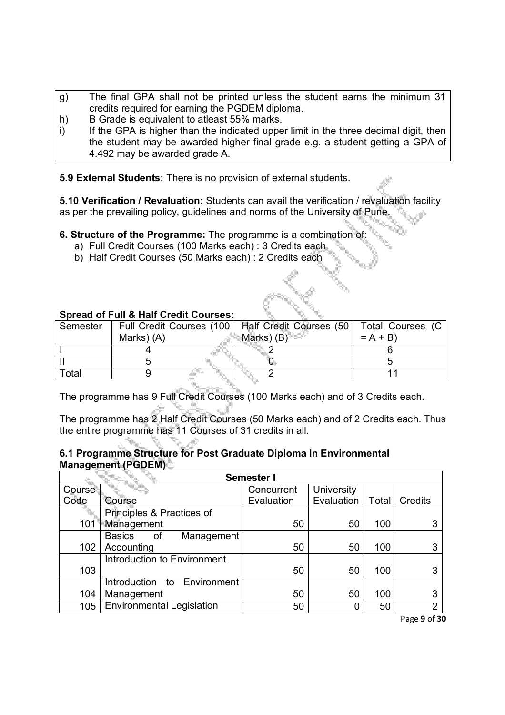- g) The final GPA shall not be printed unless the student earns the minimum 31 credits required for earning the PGDEM diploma.
- h) B Grade is equivalent to atleast 55% marks.
- i) If the GPA is higher than the indicated upper limit in the three decimal digit, then the student may be awarded higher final grade e.g. a student getting a GPA of 4.492 may be awarded grade A.

**5.9 External Students:** There is no provision of external students.

**5.10 Verification / Revaluation:** Students can avail the verification / revaluation facility as per the prevailing policy, guidelines and norms of the University of Pune.

**6. Structure of the Programme:** The programme is a combination of:

- a) Full Credit Courses (100 Marks each) : 3 Credits each
- b) Half Credit Courses (50 Marks each) : 2 Credits each

## **Spread of Full & Half Credit Courses:**

| Semester |            | Full Credit Courses (100   Half Credit Courses (50   Total Courses (C |           |
|----------|------------|-----------------------------------------------------------------------|-----------|
|          | Marks) (A) | Marks) (B)                                                            | $= A + B$ |
|          |            |                                                                       |           |
|          |            |                                                                       |           |
| Total    |            |                                                                       |           |

The programme has 9 Full Credit Courses (100 Marks each) and of 3 Credits each.

The programme has 2 Half Credit Courses (50 Marks each) and of 2 Credits each. Thus the entire programme has 11 Courses of 31 credits in all.

## **6.1 Programme Structure for Post Graduate Diploma In Environmental Management (PGDEM)**

|        | Semester I                        |            |            |       |         |
|--------|-----------------------------------|------------|------------|-------|---------|
| Course |                                   | Concurrent | University |       |         |
| Code   | Course                            | Evaluation | Evaluation | Total | Credits |
|        | Principles & Practices of         |            |            |       |         |
| 101    | Management                        | 50         | 50         | 100   |         |
|        | <b>Basics</b><br>Management<br>of |            |            |       |         |
| 102    | Accounting                        | 50         | 50         | 100   |         |
|        | Introduction to Environment       |            |            |       |         |
| 103    |                                   | 50         | 50         | 100   | 3       |
|        | Introduction to Environment       |            |            |       |         |
| 104    | Management                        | 50         | 50         | 100   | 3       |
| 105    | <b>Environmental Legislation</b>  | 50         | 0          | 50    | C       |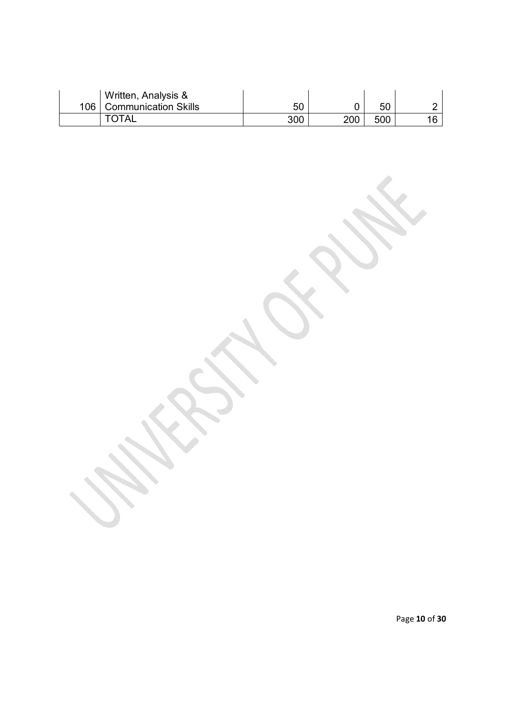| Written, Analysis &        |     |     |     |  |
|----------------------------|-----|-----|-----|--|
| 106   Communication Skills | 50  |     | 50  |  |
| TOTAL                      | 300 | 200 | 500 |  |

Page **10** of **30**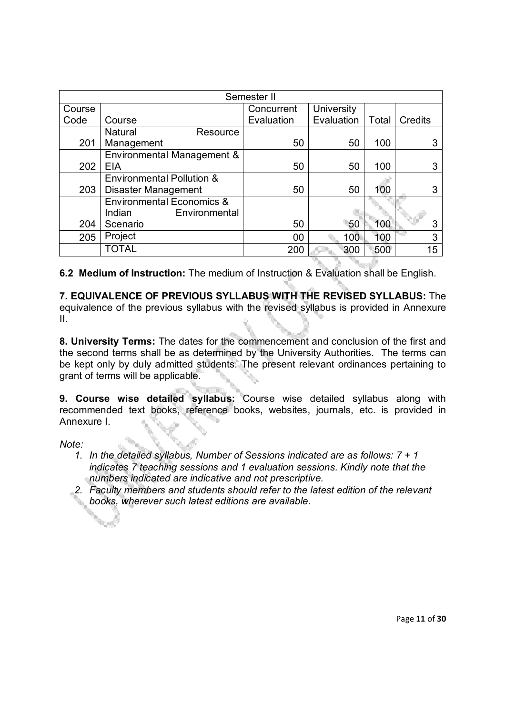|        | Semester II                          |            |            |       |                |
|--------|--------------------------------------|------------|------------|-------|----------------|
| Course |                                      | Concurrent | University |       |                |
| Code   | Course                               | Evaluation | Evaluation | Total | <b>Credits</b> |
|        | <b>Natural</b><br>Resource           |            |            |       |                |
| 201    | Management                           | 50         | 50         | 100   | 3              |
|        | Environmental Management &           |            |            |       |                |
| 202    | <b>EIA</b>                           | 50         | 50         | 100   | 3              |
|        | <b>Environmental Pollution &amp;</b> |            |            |       |                |
| 203    | Disaster Management                  | 50         | 50         | 100   | 3              |
|        | <b>Environmental Economics &amp;</b> |            |            |       |                |
|        | Environmental<br>Indian              |            |            |       |                |
| 204    | Scenario                             | 50         | 50         | 100   | 3              |
| 205    | Project                              | 00         | 100        | 100   | 3              |
|        | <b>TOTAL</b>                         | 200        | 300        | 500   | 15             |

**6.2 Medium of Instruction:** The medium of Instruction & Evaluation shall be English.

**7. EQUIVALENCE OF PREVIOUS SYLLABUS WITH THE REVISED SYLLABUS:** The equivalence of the previous syllabus with the revised syllabus is provided in Annexure II.

**8. University Terms:** The dates for the commencement and conclusion of the first and the second terms shall be as determined by the University Authorities. The terms can be kept only by duly admitted students. The present relevant ordinances pertaining to grant of terms will be applicable.

**9. Course wise detailed syllabus:** Course wise detailed syllabus along with recommended text books, reference books, websites, journals, etc. is provided in Annexure I.

*Note:* 

- *1. In the detailed syllabus, Number of Sessions indicated are as follows: 7 + 1 indicates 7 teaching sessions and 1 evaluation sessions. Kindly note that the numbers indicated are indicative and not prescriptive.*
- *2. Faculty members and students should refer to the latest edition of the relevant books, wherever such latest editions are available.*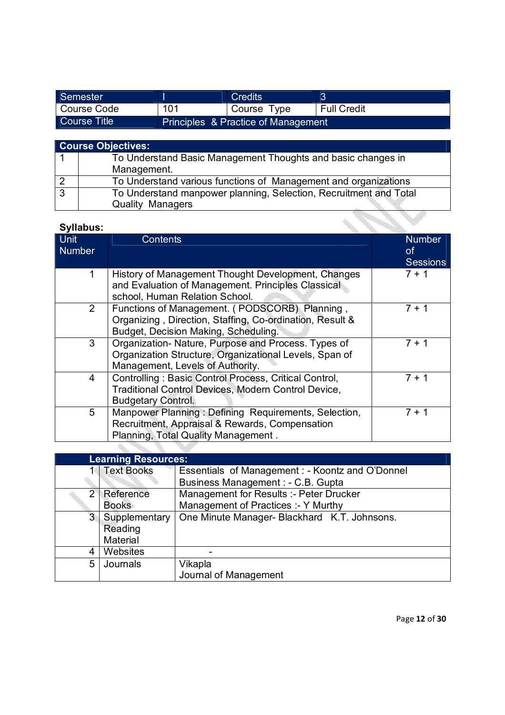| Semester      |                                     | <b>Credits</b> |                    |
|---------------|-------------------------------------|----------------|--------------------|
| l Course Code | 101                                 | Course Type    | <b>Full Credit</b> |
| Course Title  | Principles & Practice of Management |                |                    |

|   | <b>Course Objectives:</b>                                         |
|---|-------------------------------------------------------------------|
|   | To Understand Basic Management Thoughts and basic changes in      |
|   | Management.                                                       |
|   | To Understand various functions of Management and organizations   |
| 3 | To Understand manpower planning, Selection, Recruitment and Total |
|   | <b>Quality Managers</b>                                           |

| <b>Syllabus:</b>             |                                                                                                                                                   |                                        |
|------------------------------|---------------------------------------------------------------------------------------------------------------------------------------------------|----------------------------------------|
| <b>Unit</b><br><b>Number</b> | <b>Contents</b>                                                                                                                                   | <b>Number</b><br>0f<br><b>Sessions</b> |
|                              | History of Management Thought Development, Changes<br>and Evaluation of Management. Principles Classical<br>school, Human Relation School.        | $7 + 1$                                |
| $\overline{2}$               | Functions of Management. (PODSCORB) Planning,<br>Organizing, Direction, Staffing, Co-ordination, Result &<br>Budget, Decision Making, Scheduling. | 7 + 1                                  |
| 3                            | Organization- Nature, Purpose and Process. Types of<br>Organization Structure, Organizational Levels, Span of<br>Management, Levels of Authority. | 7 + 1                                  |
| 4                            | Controlling: Basic Control Process, Critical Control,<br>Traditional Control Devices, Modern Control Device,<br><b>Budgetary Control.</b>         | 7 + 1                                  |
| 5                            | Manpower Planning: Defining Requirements, Selection,<br>Recruitment, Appraisal & Rewards, Compensation<br>Planning, Total Quality Management.     | 7 + 1                                  |

|                | <b>Learning Resources:</b> |                                                  |
|----------------|----------------------------|--------------------------------------------------|
|                | 1 Text Books               | Essentials of Management : - Koontz and O'Donnel |
|                |                            | Business Management : - C.B. Gupta               |
| $\overline{2}$ | Reference                  | Management for Results :- Peter Drucker          |
|                | <b>Books</b>               | Management of Practices :- Y Murthy              |
| 3 <sup>2</sup> | Supplementary              | One Minute Manager- Blackhard K.T. Johnsons.     |
|                | Reading                    |                                                  |
|                | Material                   |                                                  |
|                | Websites                   |                                                  |
| 5              | Journals                   | Vikapla                                          |
|                |                            | Journal of Management                            |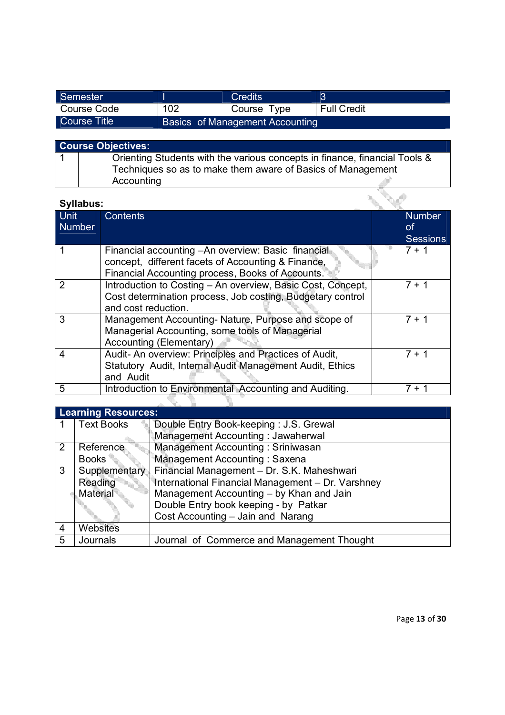| Semester     |     | <b>Credits</b>                  | 3                  |
|--------------|-----|---------------------------------|--------------------|
| Course Code  | 102 | Course Type                     | <b>Full Credit</b> |
| Course Title |     | Basics of Management Accounting |                    |

| <b>Course Objectives:</b>                                                                                                                 |
|-------------------------------------------------------------------------------------------------------------------------------------------|
| Orienting Students with the various concepts in finance, financial Tools &<br>Techniques so as to make them aware of Basics of Management |
| Accounting                                                                                                                                |

| Syllabus:                    |                                                                                                                                                               |                                        |
|------------------------------|---------------------------------------------------------------------------------------------------------------------------------------------------------------|----------------------------------------|
| <b>Unit</b><br><b>Number</b> | <b>Contents</b>                                                                                                                                               | <b>Number</b><br>0f<br><b>Sessions</b> |
|                              | Financial accounting - An overview: Basic financial<br>concept, different facets of Accounting & Finance,<br>Financial Accounting process, Books of Accounts. | $7 + 1$                                |
| 2                            | Introduction to Costing - An overview, Basic Cost, Concept,<br>Cost determination process, Job costing, Budgetary control<br>and cost reduction.              | $7 + 1$                                |
| 3                            | Management Accounting- Nature, Purpose and scope of<br>Managerial Accounting, some tools of Managerial<br>Accounting (Elementary)                             | $7 + 1$                                |
| 4                            | Audit- An overview: Principles and Practices of Audit,<br>Statutory Audit, Internal Audit Management Audit, Ethics<br>and Audit                               | $7 + 1$                                |
| 5                            | Introduction to Environmental Accounting and Auditing.                                                                                                        | 7 + 1                                  |

|                | <b>Learning Resources:</b> |                                                   |  |  |  |  |
|----------------|----------------------------|---------------------------------------------------|--|--|--|--|
|                | <b>Text Books</b>          | Double Entry Book-keeping: J.S. Grewal            |  |  |  |  |
|                |                            | Management Accounting: Jawaherwal                 |  |  |  |  |
| $\overline{2}$ | Reference                  | <b>Management Accounting: Sriniwasan</b>          |  |  |  |  |
|                | <b>Books</b>               | Management Accounting: Saxena                     |  |  |  |  |
| 3              | Supplementary              | Financial Management - Dr. S.K. Maheshwari        |  |  |  |  |
|                | Reading                    | International Financial Management - Dr. Varshney |  |  |  |  |
|                | Material                   | Management Accounting - by Khan and Jain          |  |  |  |  |
|                |                            | Double Entry book keeping - by Patkar             |  |  |  |  |
|                |                            | Cost Accounting - Jain and Narang                 |  |  |  |  |
| 4              | Websites                   |                                                   |  |  |  |  |
| 5              | Journals                   | Journal of Commerce and Management Thought        |  |  |  |  |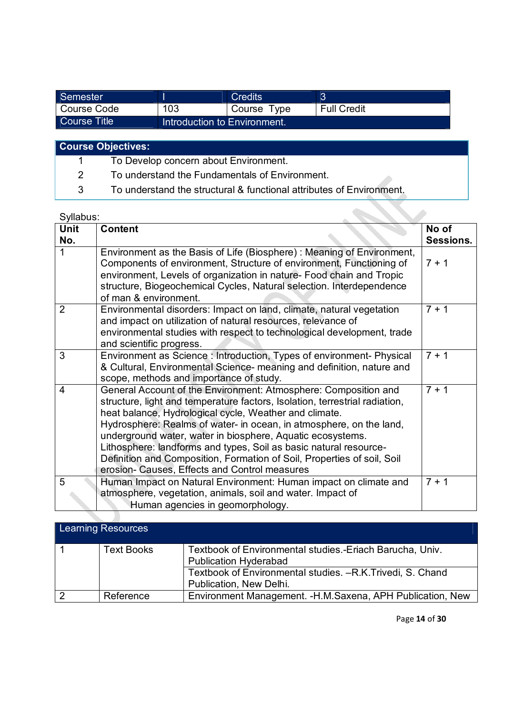| Semester     |                              | <b>Credits</b> | 3                  |
|--------------|------------------------------|----------------|--------------------|
| Course Code  | 103                          | Course Type    | <b>Full Credit</b> |
| Course Title | Introduction to Environment. |                |                    |

**Course Objectives:**

- 1 To Develop concern about Environment.
- 2 To understand the Fundamentals of Environment.
- 3 To understand the structural & functional attributes of Environment.

| Syllabus:               |                                                                                                                                                                                                                                                                                                                                                                                                                                                                                                                                                |                    |
|-------------------------|------------------------------------------------------------------------------------------------------------------------------------------------------------------------------------------------------------------------------------------------------------------------------------------------------------------------------------------------------------------------------------------------------------------------------------------------------------------------------------------------------------------------------------------------|--------------------|
| <b>Unit</b><br>No.      | <b>Content</b>                                                                                                                                                                                                                                                                                                                                                                                                                                                                                                                                 | No of<br>Sessions. |
| 1                       | Environment as the Basis of Life (Biosphere): Meaning of Environment,<br>Components of environment, Structure of environment, Functioning of<br>environment, Levels of organization in nature- Food chain and Tropic<br>structure, Biogeochemical Cycles, Natural selection. Interdependence<br>of man & environment.                                                                                                                                                                                                                          | $7 + 1$            |
| $\overline{2}$          | Environmental disorders: Impact on land, climate, natural vegetation<br>and impact on utilization of natural resources, relevance of<br>environmental studies with respect to technological development, trade<br>and scientific progress.                                                                                                                                                                                                                                                                                                     | $7 + 1$            |
| 3                       | Environment as Science : Introduction, Types of environment- Physical<br>& Cultural, Environmental Science- meaning and definition, nature and<br>scope, methods and importance of study.                                                                                                                                                                                                                                                                                                                                                      | $7 + 1$            |
| $\overline{\mathbf{4}}$ | General Account of the Environment: Atmosphere: Composition and<br>structure, light and temperature factors, Isolation, terrestrial radiation,<br>heat balance, Hydrological cycle, Weather and climate.<br>Hydrosphere: Realms of water- in ocean, in atmosphere, on the land,<br>underground water, water in biosphere, Aquatic ecosystems.<br>Lithosphere: landforms and types, Soil as basic natural resource-<br>Definition and Composition, Formation of Soil, Properties of soil, Soil<br>erosion- Causes, Effects and Control measures | $7 + 1$            |
| 5                       | Human Impact on Natural Environment: Human impact on climate and<br>atmosphere, vegetation, animals, soil and water. Impact of<br>Human agencies in geomorphology.                                                                                                                                                                                                                                                                                                                                                                             | $7 + 1$            |

| <b>Learning Resources</b> |                   |                                                                                          |  |  |  |
|---------------------------|-------------------|------------------------------------------------------------------------------------------|--|--|--|
|                           | <b>Text Books</b> | Textbook of Environmental studies.-Eriach Barucha, Univ.<br><b>Publication Hyderabad</b> |  |  |  |
|                           |                   | Textbook of Environmental studies. - R.K. Trivedi, S. Chand<br>Publication, New Delhi.   |  |  |  |
|                           | Reference         | Environment Management. - H.M. Saxena, APH Publication, New                              |  |  |  |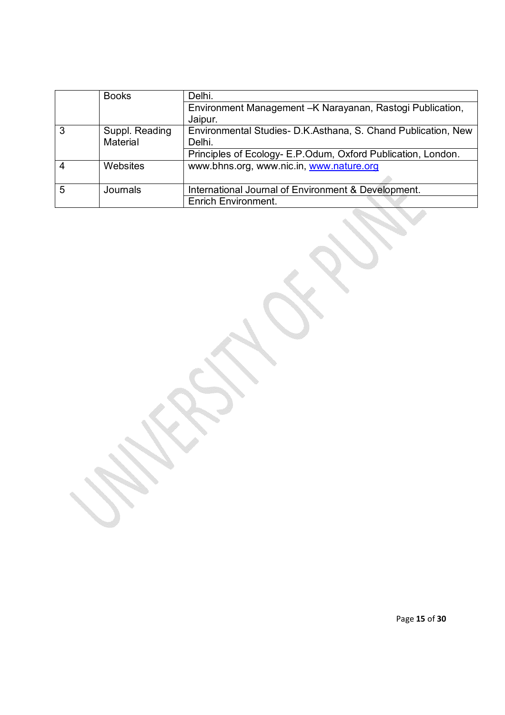|   | <b>Books</b>   | Delhi.                                                        |
|---|----------------|---------------------------------------------------------------|
|   |                | Environment Management - K Narayanan, Rastogi Publication,    |
|   |                | Jaipur.                                                       |
|   | Suppl. Reading | Environmental Studies- D.K.Asthana, S. Chand Publication, New |
|   | Material       | Delhi.                                                        |
|   |                | Principles of Ecology- E.P.Odum, Oxford Publication, London.  |
|   | Websites       | www.bhns.org, www.nic.in, www.nature.org                      |
|   |                |                                                               |
| 5 | Journals       | International Journal of Environment & Development.           |
|   |                | <b>Enrich Environment.</b>                                    |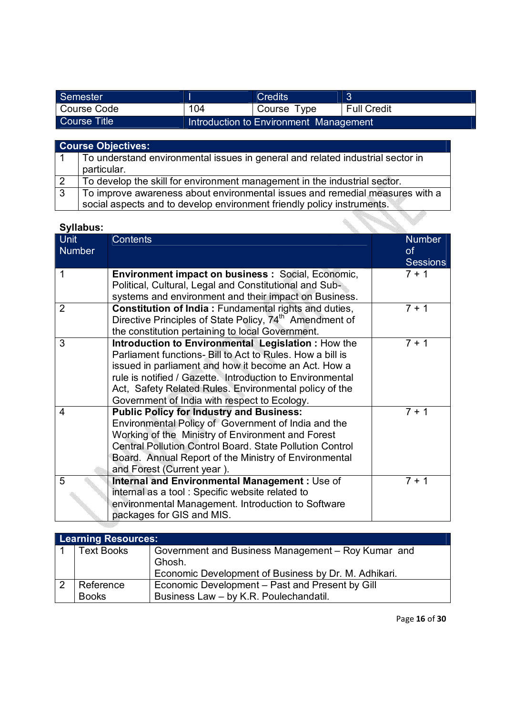| Semester     |     | <b>Credits</b>                         | 3                        |
|--------------|-----|----------------------------------------|--------------------------|
| Course Code  | 104 | Course Type                            | <sup>1</sup> Full Credit |
| Course Title |     | Introduction to Environment Management |                          |

|              | <b>Course Objectives:</b>                                                      |
|--------------|--------------------------------------------------------------------------------|
|              | To understand environmental issues in general and related industrial sector in |
|              | particular.                                                                    |
|              | To develop the skill for environment management in the industrial sector.      |
| $\mathbf{3}$ | To improve awareness about environmental issues and remedial measures with a   |
|              | social aspects and to develop environment friendly policy instruments.         |

| <b>Syllabus:</b>      |                                                                                                                                                                                                                                                                                                                                                 |                                        |
|-----------------------|-------------------------------------------------------------------------------------------------------------------------------------------------------------------------------------------------------------------------------------------------------------------------------------------------------------------------------------------------|----------------------------------------|
| <b>Unit</b><br>Number | <b>Contents</b>                                                                                                                                                                                                                                                                                                                                 | <b>Number</b><br>of<br><b>Sessions</b> |
| 1                     | <b>Environment impact on business: Social, Economic,</b><br>Political, Cultural, Legal and Constitutional and Sub-<br>systems and environment and their impact on Business.                                                                                                                                                                     | $7 + 1$                                |
| $\overline{2}$        | <b>Constitution of India: Fundamental rights and duties,</b><br>Directive Principles of State Policy, 74 <sup>th</sup> Amendment of<br>the constitution pertaining to local Government.                                                                                                                                                         | $7 + 1$                                |
| 3                     | Introduction to Environmental Legislation : How the<br>Parliament functions- Bill to Act to Rules. How a bill is<br>issued in parliament and how it become an Act. How a<br>rule is notified / Gazette. Introduction to Environmental<br>Act, Safety Related Rules. Environmental policy of the<br>Government of India with respect to Ecology. | $7 + 1$                                |
| 4                     | <b>Public Policy for Industry and Business:</b><br>Environmental Policy of Government of India and the<br>Working of the Ministry of Environment and Forest<br><b>Central Pollution Control Board. State Pollution Control</b><br>Board. Annual Report of the Ministry of Environmental<br>and Forest (Current year).                           | $7 + 1$                                |
| 5                     | Internal and Environmental Management : Use of<br>internal as a tool: Specific website related to<br>environmental Management. Introduction to Software<br>packages for GIS and MIS.                                                                                                                                                            | $7 + 1$                                |

| <b>Learning Resources:</b>                           |                                                    |  |  |  |  |
|------------------------------------------------------|----------------------------------------------------|--|--|--|--|
| Text Books                                           | Government and Business Management - Roy Kumar and |  |  |  |  |
|                                                      | Ghosh.                                             |  |  |  |  |
| Economic Development of Business by Dr. M. Adhikari. |                                                    |  |  |  |  |
| Reference                                            | Economic Development – Past and Present by Gill    |  |  |  |  |
| <b>Books</b>                                         | Business Law - by K.R. Poulechandatil.             |  |  |  |  |

Page **16** of **30**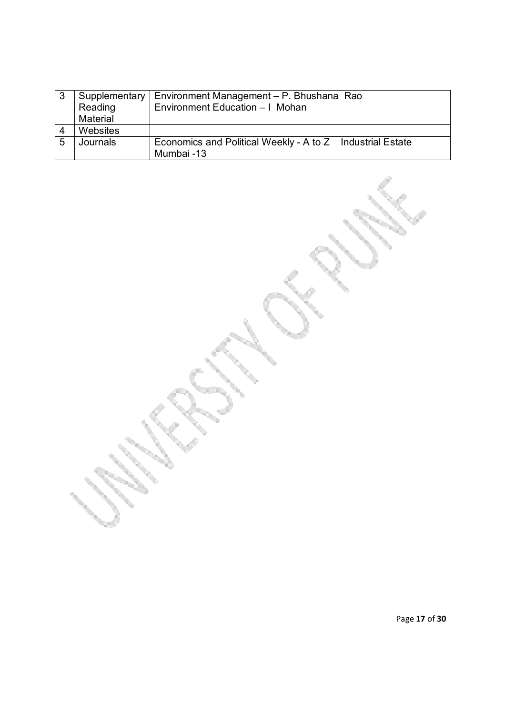| -3             | Supplementary | Environment Management - P. Bhushana Rao                  |  |  |
|----------------|---------------|-----------------------------------------------------------|--|--|
|                | Reading       | Environment Education - I Mohan                           |  |  |
|                | Material      |                                                           |  |  |
| $\overline{4}$ | Websites      |                                                           |  |  |
| 5              | Journals      | Economics and Political Weekly - A to Z Industrial Estate |  |  |
|                |               | Mumbai -13                                                |  |  |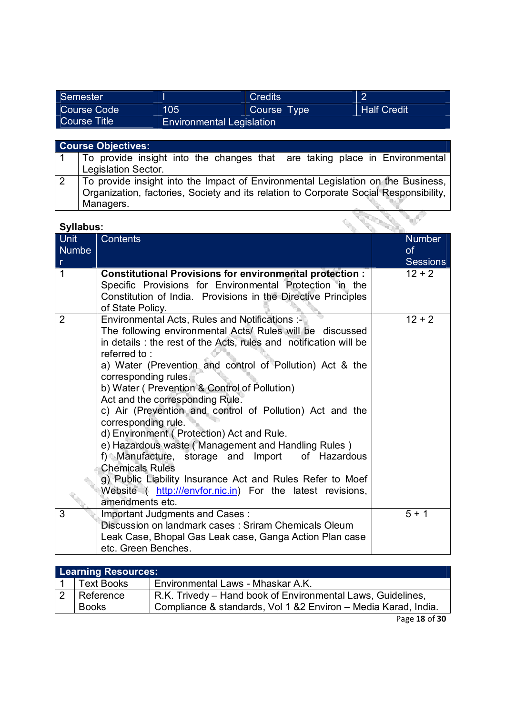| Semester            |                                  | <b>Credits</b> | $\sqrt{2}$         |
|---------------------|----------------------------------|----------------|--------------------|
| Course Code         | 105                              | Course Type    | <b>Half Credit</b> |
| <b>Course Title</b> | <b>Environmental Legislation</b> |                |                    |

|   | <b>Course Objectives:</b>                                                                                                                                                              |  |  |  |  |
|---|----------------------------------------------------------------------------------------------------------------------------------------------------------------------------------------|--|--|--|--|
|   | To provide insight into the changes that are taking place in Environmental<br>Legislation Sector.                                                                                      |  |  |  |  |
| 2 | To provide insight into the Impact of Environmental Legislation on the Business,<br>Organization, factories, Society and its relation to Corporate Social Responsibility,<br>Managers. |  |  |  |  |
|   | <b>Cullabue</b>                                                                                                                                                                        |  |  |  |  |

|                                      | Syllabus:                                                                                                                                                                                                                                                                                                                                                                                                                                                                                                                                                                                                                                                                                                                                                                                    |                                               |  |  |
|--------------------------------------|----------------------------------------------------------------------------------------------------------------------------------------------------------------------------------------------------------------------------------------------------------------------------------------------------------------------------------------------------------------------------------------------------------------------------------------------------------------------------------------------------------------------------------------------------------------------------------------------------------------------------------------------------------------------------------------------------------------------------------------------------------------------------------------------|-----------------------------------------------|--|--|
| <b>Unit</b><br>Numbe<br>$\mathsf{r}$ | <b>Contents</b>                                                                                                                                                                                                                                                                                                                                                                                                                                                                                                                                                                                                                                                                                                                                                                              | <b>Number</b><br><b>of</b><br><b>Sessions</b> |  |  |
| $\mathbf{1}$                         | <b>Constitutional Provisions for environmental protection:</b><br>Specific Provisions for Environmental Protection in the<br>Constitution of India. Provisions in the Directive Principles<br>of State Policy.                                                                                                                                                                                                                                                                                                                                                                                                                                                                                                                                                                               | $12 + 2$                                      |  |  |
| $\overline{2}$                       | Environmental Acts, Rules and Notifications :-<br>The following environmental Acts/ Rules will be discussed<br>in details : the rest of the Acts, rules and notification will be<br>referred to:<br>a) Water (Prevention and control of Pollution) Act & the<br>corresponding rules.<br>b) Water ( Prevention & Control of Pollution)<br>Act and the corresponding Rule.<br>c) Air (Prevention and control of Pollution) Act and the<br>corresponding rule.<br>d) Environment (Protection) Act and Rule.<br>e) Hazardous waste (Management and Handling Rules)<br>f) Manufacture, storage and Import<br>of Hazardous<br><b>Chemicals Rules</b><br>g) Public Liability Insurance Act and Rules Refer to Moef<br>Website ( http:///envfor.nic.in) For the latest revisions,<br>amendments etc. | $12 + 2$                                      |  |  |
| 3                                    | Important Judgments and Cases:<br>Discussion on landmark cases: Sriram Chemicals Oleum<br>Leak Case, Bhopal Gas Leak case, Ganga Action Plan case<br>etc. Green Benches.                                                                                                                                                                                                                                                                                                                                                                                                                                                                                                                                                                                                                     | $5 + 1$                                       |  |  |

| <b>Learning Resources:</b> |                   |                                                                 |  |  |
|----------------------------|-------------------|-----------------------------------------------------------------|--|--|
|                            | <b>Text Books</b> | Environmental Laws - Mhaskar A.K.                               |  |  |
|                            | Reference         | R.K. Trivedy – Hand book of Environmental Laws, Guidelines,     |  |  |
|                            | <b>Books</b>      | Compliance & standards, Vol 1 & 2 Environ - Media Karad, India. |  |  |

Page **18** of **30**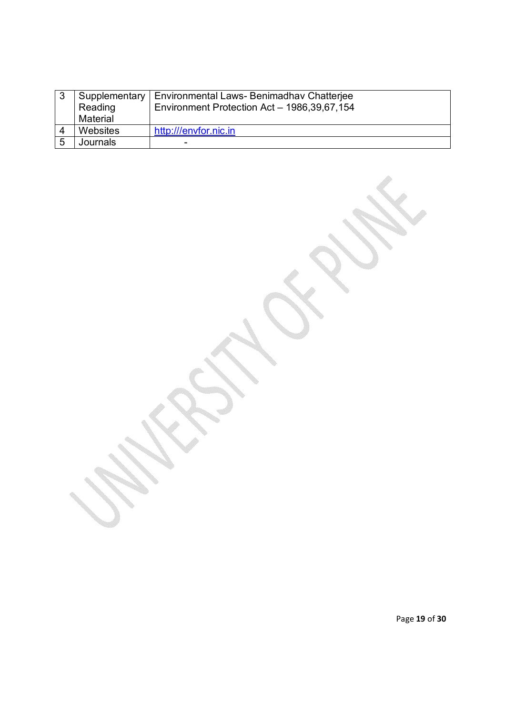| -3 | Supplementary<br>Reading<br>Material | Environmental Laws- Benimadhav Chatterjee<br>Environment Protection Act - 1986,39,67,154 |
|----|--------------------------------------|------------------------------------------------------------------------------------------|
|    | Websites                             | http:///envfor.nic.in                                                                    |
| 5  | Journals                             |                                                                                          |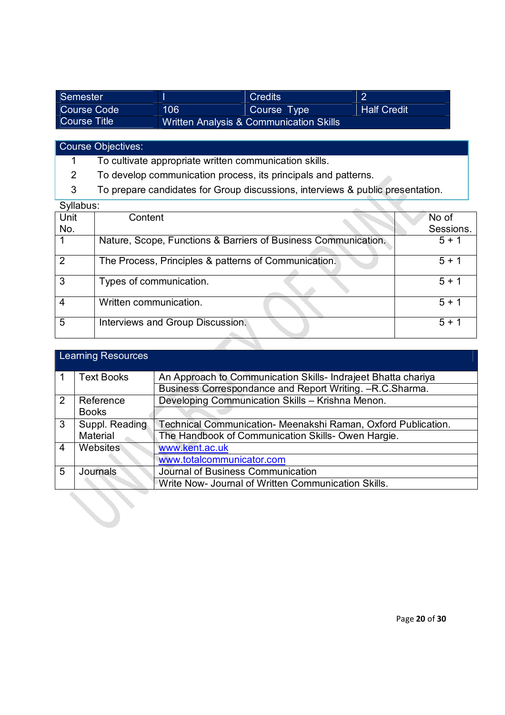| Semester     |                                         | <b>Credits</b> | $\sqrt{2}$         |
|--------------|-----------------------------------------|----------------|--------------------|
| Course Code  | 106                                     | Course Type    | <b>Half Credit</b> |
| Course Title | Written Analysis & Communication Skills |                |                    |

Course Objectives:

1 To cultivate appropriate written communication skills.

2 To develop communication process, its principals and patterns.

3 To prepare candidates for Group discussions, interviews & public presentation.

| Syllabus: |                                                                |           |
|-----------|----------------------------------------------------------------|-----------|
| Unit      | Content                                                        | No of     |
| No.       |                                                                | Sessions. |
|           | Nature, Scope, Functions & Barriers of Business Communication. | $5 + 1$   |
|           |                                                                |           |
| 2         | The Process, Principles & patterns of Communication.           | $5 + 1$   |
|           |                                                                |           |
| 3         | Types of communication.                                        | $5 + 1$   |
|           |                                                                |           |
| 4         | Written communication.                                         | $5 + 1$   |
|           |                                                                |           |
| 5         | Interviews and Group Discussion.                               | $5 + 1$   |
|           |                                                                |           |
|           |                                                                |           |

|   | <b>Learning Resources</b> |                                                               |  |  |  |
|---|---------------------------|---------------------------------------------------------------|--|--|--|
|   | <b>Text Books</b>         | An Approach to Communication Skills- Indrajeet Bhatta chariya |  |  |  |
|   |                           | Business Correspondance and Report Writing. - R.C. Sharma.    |  |  |  |
| 2 | Reference                 | Developing Communication Skills - Krishna Menon.              |  |  |  |
|   | <b>Books</b>              |                                                               |  |  |  |
| 3 | Suppl. Reading            | Technical Communication- Meenakshi Raman, Oxford Publication. |  |  |  |
|   | Material                  | The Handbook of Communication Skills- Owen Hargie.            |  |  |  |
| 4 | Websites                  | www.kent.ac.uk                                                |  |  |  |
|   |                           | www.totalcommunicator.com                                     |  |  |  |
| 5 | Journals                  | Journal of Business Communication                             |  |  |  |
|   |                           | Write Now- Journal of Written Communication Skills.           |  |  |  |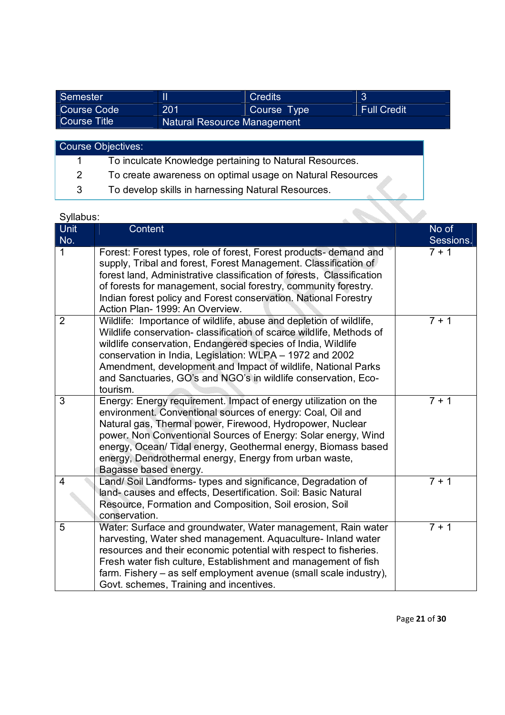| Semester     |                                    | <b>Credits</b> | ാ                  |
|--------------|------------------------------------|----------------|--------------------|
| Course Code  | 201                                | Course Type    | <b>Full Credit</b> |
| Course Title | <b>Natural Resource Management</b> |                |                    |

| Course Objectives:        |                                                           |  |  |  |
|---------------------------|-----------------------------------------------------------|--|--|--|
|                           | To inculcate Knowledge pertaining to Natural Resources.   |  |  |  |
| $\mathbf{2}^{\mathsf{I}}$ | To create awareness on optimal usage on Natural Resources |  |  |  |
| 3                         | To develop skills in harnessing Natural Resources.        |  |  |  |

| Syllabus:      |                                                                                                                                                                                                                                                                                                                                                                                                                       |                    |
|----------------|-----------------------------------------------------------------------------------------------------------------------------------------------------------------------------------------------------------------------------------------------------------------------------------------------------------------------------------------------------------------------------------------------------------------------|--------------------|
| Unit<br>No.    | <b>Content</b>                                                                                                                                                                                                                                                                                                                                                                                                        | No of<br>Sessions. |
| 1              | Forest: Forest types, role of forest, Forest products- demand and<br>supply, Tribal and forest, Forest Management. Classification of<br>forest land, Administrative classification of forests, Classification<br>of forests for management, social forestry, community forestry.<br>Indian forest policy and Forest conservation. National Forestry<br>Action Plan- 1999: An Overview.                                | $7 + 1$            |
| $\overline{2}$ | Wildlife: Importance of wildlife, abuse and depletion of wildlife,<br>Wildlife conservation- classification of scarce wildlife, Methods of<br>wildlife conservation, Endangered species of India, Wildlife<br>conservation in India, Legislation: WLPA - 1972 and 2002<br>Amendment, development and Impact of wildlife, National Parks<br>and Sanctuaries, GO's and NGO's in wildlife conservation, Eco-<br>tourism. | $7 + 1$            |
| 3              | Energy: Energy requirement. Impact of energy utilization on the<br>environment. Conventional sources of energy: Coal, Oil and<br>Natural gas, Thermal power, Firewood, Hydropower, Nuclear<br>power. Non Conventional Sources of Energy: Solar energy, Wind<br>energy, Ocean/ Tidal energy, Geothermal energy, Biomass based<br>energy, Dendrothermal energy, Energy from urban waste,<br>Bagasse based energy.       | $7 + 1$            |
| 4              | Land/ Soil Landforms- types and significance, Degradation of<br>land- causes and effects, Desertification. Soil: Basic Natural<br>Resource, Formation and Composition, Soil erosion, Soil<br>conservation.                                                                                                                                                                                                            | $7 + 1$            |
| 5              | Water: Surface and groundwater, Water management, Rain water<br>harvesting, Water shed management. Aquaculture- Inland water<br>resources and their economic potential with respect to fisheries.<br>Fresh water fish culture, Establishment and management of fish<br>farm. Fishery – as self employment avenue (small scale industry),<br>Govt. schemes, Training and incentives.                                   | $7 + 1$            |

Page **21** of **30**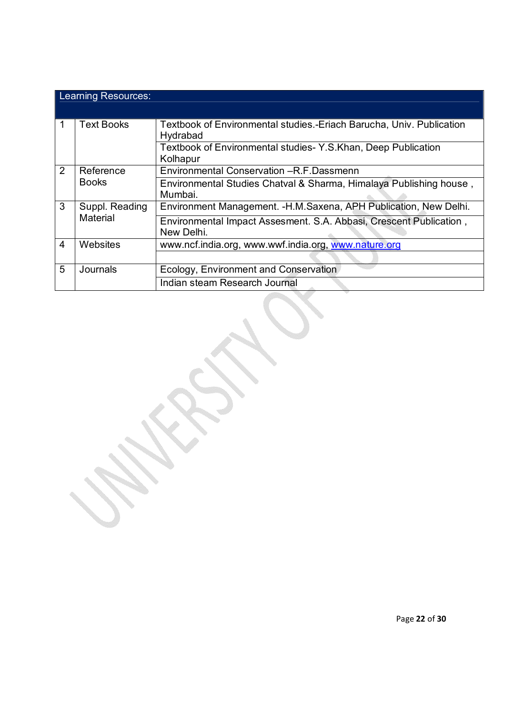|                | Learning Resources:        |                                                                                  |  |  |  |
|----------------|----------------------------|----------------------------------------------------------------------------------|--|--|--|
| 1              | <b>Text Books</b>          | Textbook of Environmental studies.-Eriach Barucha, Univ. Publication<br>Hydrabad |  |  |  |
|                |                            | Textbook of Environmental studies-Y.S.Khan, Deep Publication<br>Kolhapur         |  |  |  |
| 2              | Reference<br><b>Books</b>  | Environmental Conservation - R.F. Dassmenn                                       |  |  |  |
|                |                            | Environmental Studies Chatval & Sharma, Himalaya Publishing house,<br>Mumbai.    |  |  |  |
| 3              | Suppl. Reading<br>Material | Environment Management. - H.M. Saxena, APH Publication, New Delhi.               |  |  |  |
|                |                            | Environmental Impact Assesment. S.A. Abbasi, Crescent Publication,<br>New Delhi. |  |  |  |
| $\overline{4}$ | <b>Websites</b>            | www.ncf.india.org, www.wwf.india.org, www.nature.org                             |  |  |  |
|                |                            |                                                                                  |  |  |  |
| 5              | Journals                   | Ecology, Environment and Conservation                                            |  |  |  |
|                |                            | Indian steam Research Journal                                                    |  |  |  |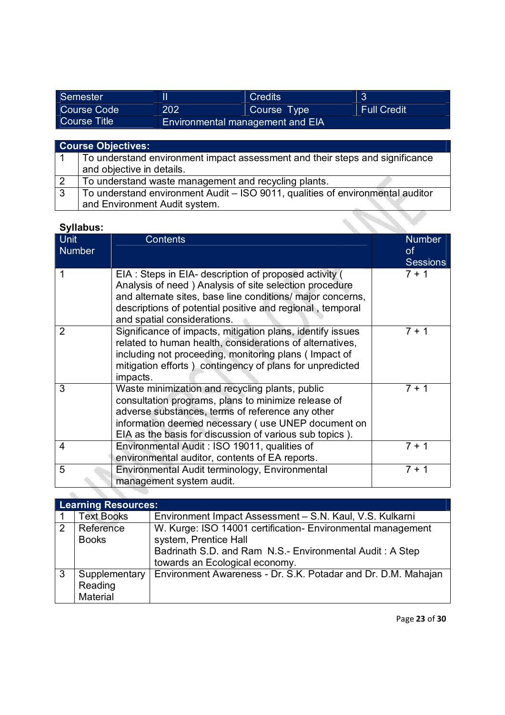| Semester            |                                         | <b>Credits</b> |                    |
|---------------------|-----------------------------------------|----------------|--------------------|
| Course Code         | 202                                     | Course Type    | <b>Full Credit</b> |
| <b>Course Title</b> | <b>Environmental management and EIA</b> |                |                    |

|                | <b>Course Objectives:</b>                                                      |
|----------------|--------------------------------------------------------------------------------|
|                | To understand environment impact assessment and their steps and significance   |
|                | and objective in details.                                                      |
| $\overline{2}$ | To understand waste management and recycling plants.                           |
| -3             | To understand environment Audit - ISO 9011, qualities of environmental auditor |
|                | and Environment Audit system.                                                  |

| Syllabus:                    |                                                                                                                                                                                                                                                                             |                                               |
|------------------------------|-----------------------------------------------------------------------------------------------------------------------------------------------------------------------------------------------------------------------------------------------------------------------------|-----------------------------------------------|
| <b>Unit</b><br><b>Number</b> | <b>Contents</b>                                                                                                                                                                                                                                                             | <b>Number</b><br><b>of</b><br><b>Sessions</b> |
|                              | EIA: Steps in EIA- description of proposed activity (<br>Analysis of need) Analysis of site selection procedure<br>and alternate sites, base line conditions/ major concerns,<br>descriptions of potential positive and regional, temporal<br>and spatial considerations.   | $7 + 1$                                       |
| $\overline{2}$               | Significance of impacts, mitigation plans, identify issues<br>related to human health, considerations of alternatives,<br>including not proceeding, monitoring plans (Impact of<br>mitigation efforts) contingency of plans for unpredicted<br>impacts.                     | $7 + 1$                                       |
| 3                            | Waste minimization and recycling plants, public<br>consultation programs, plans to minimize release of<br>adverse substances, terms of reference any other<br>information deemed necessary (use UNEP document on<br>EIA as the basis for discussion of various sub topics). | $7 + 1$                                       |
| 4                            | Environmental Audit: ISO 19011, qualities of<br>environmental auditor, contents of EA reports.                                                                                                                                                                              | $7 + 1$                                       |
| 5                            | Environmental Audit terminology, Environmental<br>management system audit.                                                                                                                                                                                                  | $7 + 1$                                       |

|   | <b>Learning Resources:</b> |                                                               |  |
|---|----------------------------|---------------------------------------------------------------|--|
|   | <b>Text Books</b>          | Environment Impact Assessment - S.N. Kaul, V.S. Kulkarni      |  |
| 2 | Reference                  | W. Kurge: ISO 14001 certification- Environmental management   |  |
|   | <b>Books</b>               | system, Prentice Hall                                         |  |
|   |                            | Badrinath S.D. and Ram N.S.- Environmental Audit: A Step      |  |
|   |                            | towards an Ecological economy.                                |  |
| 3 | Supplementary              | Environment Awareness - Dr. S.K. Potadar and Dr. D.M. Mahajan |  |
|   | Reading                    |                                                               |  |
|   | Material                   |                                                               |  |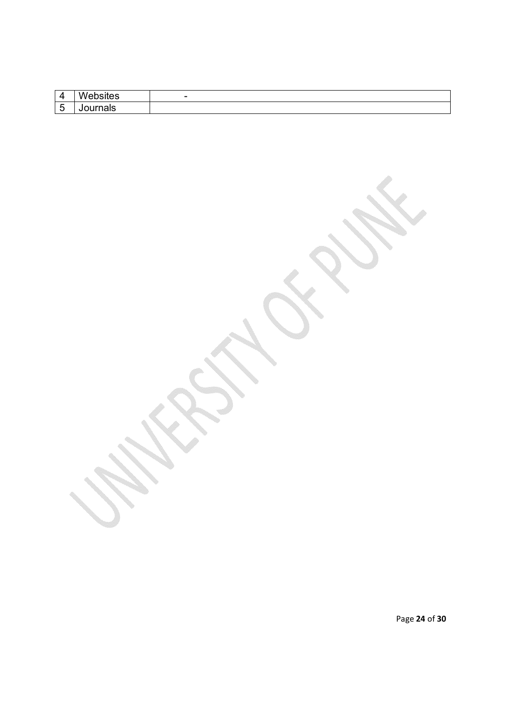Page **24** of **30**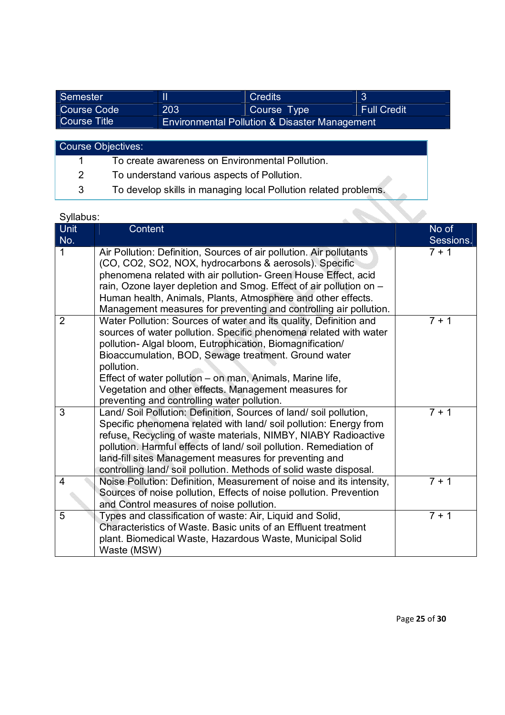| Semester     |                                               | <b>Credits</b> | 3                  |
|--------------|-----------------------------------------------|----------------|--------------------|
| Course Code  | 203                                           | Course Type    | <b>Full Credit</b> |
| Course Title | Environmental Pollution & Disaster Management |                |                    |

| <b>Course Objectives:</b> |                                                                 |  |
|---------------------------|-----------------------------------------------------------------|--|
|                           | To create awareness on Environmental Pollution.                 |  |
| $2^{\circ}$               | To understand various aspects of Pollution.                     |  |
| 3                         | To develop skills in managing local Pollution related problems. |  |

 $\overline{a}$ 

| Unit<br>No.    | Content                                                                                                                                                                                                                                                                                                                                                                                                                                        | No of<br>Sessions. |
|----------------|------------------------------------------------------------------------------------------------------------------------------------------------------------------------------------------------------------------------------------------------------------------------------------------------------------------------------------------------------------------------------------------------------------------------------------------------|--------------------|
| 1              | Air Pollution: Definition, Sources of air pollution. Air pollutants<br>(CO, CO2, SO2, NOX, hydrocarbons & aerosols). Specific<br>phenomena related with air pollution- Green House Effect, acid<br>rain, Ozone layer depletion and Smog. Effect of air pollution on -<br>Human health, Animals, Plants, Atmosphere and other effects.<br>Management measures for preventing and controlling air pollution.                                     | $7 + 1$            |
| $\overline{2}$ | Water Pollution: Sources of water and its quality, Definition and<br>sources of water pollution. Specific phenomena related with water<br>pollution- Algal bloom, Eutrophication, Biomagnification/<br>Bioaccumulation, BOD, Sewage treatment. Ground water<br>pollution.<br>Effect of water pollution – on man, Animals, Marine life,<br>Vegetation and other effects. Management measures for<br>preventing and controlling water pollution. | $7 + 1$            |
| 3              | Land/Soil Pollution: Definition, Sources of land/soil pollution,<br>Specific phenomena related with land/soil pollution: Energy from<br>refuse, Recycling of waste materials, NIMBY, NIABY Radioactive<br>pollution. Harmful effects of land/ soil pollution. Remediation of<br>land-fill sites Management measures for preventing and<br>controlling land/soil pollution. Methods of solid waste disposal.                                    | $7 + 1$            |
| 4              | Noise Pollution: Definition, Measurement of noise and its intensity,<br>Sources of noise pollution, Effects of noise pollution. Prevention<br>and Control measures of noise pollution.                                                                                                                                                                                                                                                         | $7 + 1$            |
| 5              | Types and classification of waste: Air, Liquid and Solid,<br>Characteristics of Waste. Basic units of an Effluent treatment<br>plant. Biomedical Waste, Hazardous Waste, Municipal Solid<br>Waste (MSW)                                                                                                                                                                                                                                        | $7 + 1$            |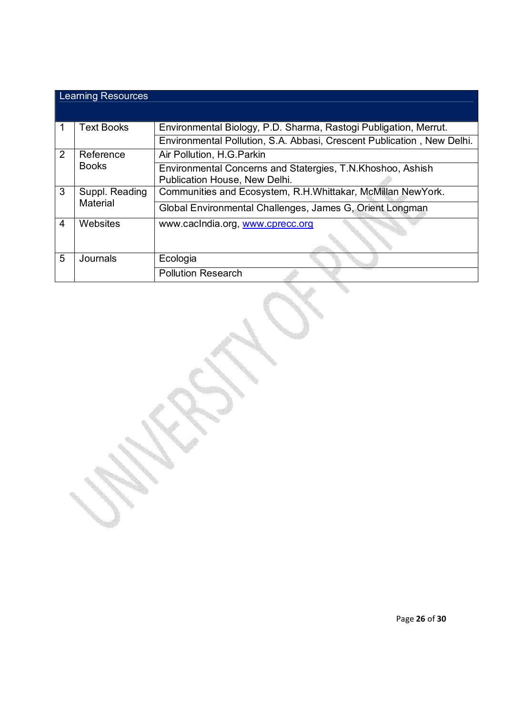|                | <b>Learning Resources</b> |                                                                                             |  |
|----------------|---------------------------|---------------------------------------------------------------------------------------------|--|
|                |                           |                                                                                             |  |
|                | <b>Text Books</b>         | Environmental Biology, P.D. Sharma, Rastogi Publigation, Merrut.                            |  |
|                |                           | Environmental Pollution, S.A. Abbasi, Crescent Publication, New Delhi.                      |  |
| 2              | Reference                 | Air Pollution, H.G. Parkin                                                                  |  |
|                | <b>Books</b>              | Environmental Concerns and Statergies, T.N.Khoshoo, Ashish<br>Publication House, New Delhi. |  |
| 3              | Suppl. Reading            | Communities and Ecosystem, R.H.Whittakar, McMillan NewYork.                                 |  |
|                | Material                  | Global Environmental Challenges, James G, Orient Longman                                    |  |
| $\overline{4}$ | Websites                  | www.cacIndia.org, www.cprecc.org                                                            |  |
| 5              | Journals                  | Ecologia                                                                                    |  |
|                |                           | <b>Pollution Research</b>                                                                   |  |

en de la construcción de la construcción de la construcción de la construcción de la construcción de la construcción de la construcción de la construcción de la construcción de la construcción de la construcción de la cons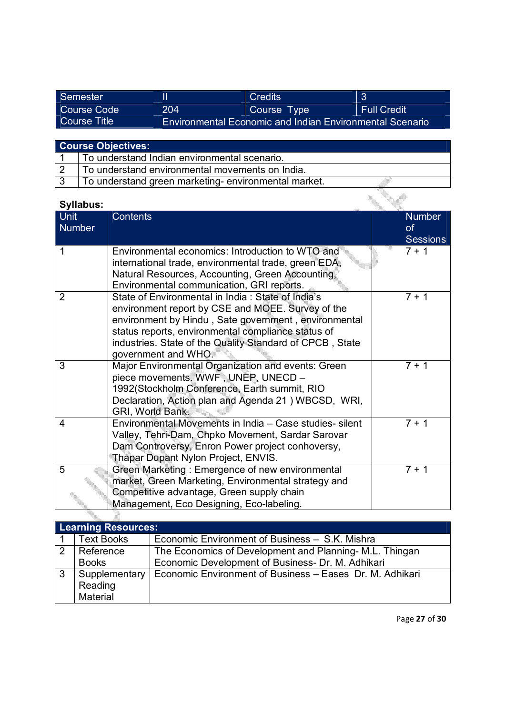| Semester     |                                                                 | <b>Credits</b> | ₽                  |
|--------------|-----------------------------------------------------------------|----------------|--------------------|
| Course Code  | 204                                                             | Course Type    | <b>Full Credit</b> |
| Course Title | <b>Environmental Economic and Indian Environmental Scenario</b> |                |                    |

| <b>Course Objectives:</b> |                                                     |  |
|---------------------------|-----------------------------------------------------|--|
|                           | To understand Indian environmental scenario.        |  |
|                           | To understand environmental movements on India.     |  |
|                           | To understand green marketing-environmental market. |  |

| <b>Syllabus:</b>      |                                                                                                                                                                                                                                                                                                         |                                               |
|-----------------------|---------------------------------------------------------------------------------------------------------------------------------------------------------------------------------------------------------------------------------------------------------------------------------------------------------|-----------------------------------------------|
| <b>Unit</b><br>Number | <b>Contents</b>                                                                                                                                                                                                                                                                                         | <b>Number</b><br><b>of</b><br><b>Sessions</b> |
| 1                     | Environmental economics: Introduction to WTO and<br>international trade, environmental trade, green EDA,<br>Natural Resources, Accounting, Green Accounting,<br>Environmental communication, GRI reports.                                                                                               | $7 + 1$                                       |
| $\overline{2}$        | State of Environmental in India: State of India's<br>environment report by CSE and MOEE. Survey of the<br>environment by Hindu, Sate government, environmental<br>status reports, environmental compliance status of<br>industries. State of the Quality Standard of CPCB, State<br>government and WHO. | $7 + 1$                                       |
| 3                     | Major Environmental Organization and events: Green<br>piece movements. WWF, UNEP, UNECD -<br>1992(Stockholm Conference, Earth summit, RIO<br>Declaration, Action plan and Agenda 21 ) WBCSD, WRI,<br>GRI, World Bank.                                                                                   | $7 + 1$                                       |
| 4                     | Environmental Movements in India - Case studies- silent<br>Valley, Tehri-Dam, Chpko Movement, Sardar Sarovar<br>Dam Controversy, Enron Power project conhoversy,<br>Thapar Dupant Nylon Project, ENVIS.                                                                                                 | $7 + 1$                                       |
| 5                     | Green Marketing: Emergence of new environmental<br>market, Green Marketing, Environmental strategy and<br>Competitive advantage, Green supply chain<br>Management, Eco Designing, Eco-labeling.                                                                                                         | $7 + 1$                                       |

|              | <b>Learning Resources:</b> |                                                          |  |  |
|--------------|----------------------------|----------------------------------------------------------|--|--|
|              | <b>Text Books</b>          | Economic Environment of Business - S.K. Mishra           |  |  |
| 2            | Reference                  | The Economics of Development and Planning-M.L. Thingan   |  |  |
|              | <b>Books</b>               | Economic Development of Business- Dr. M. Adhikari        |  |  |
| $\mathbf{3}$ | Supplementary              | Economic Environment of Business - Eases Dr. M. Adhikari |  |  |
|              | Reading                    |                                                          |  |  |
|              | Material                   |                                                          |  |  |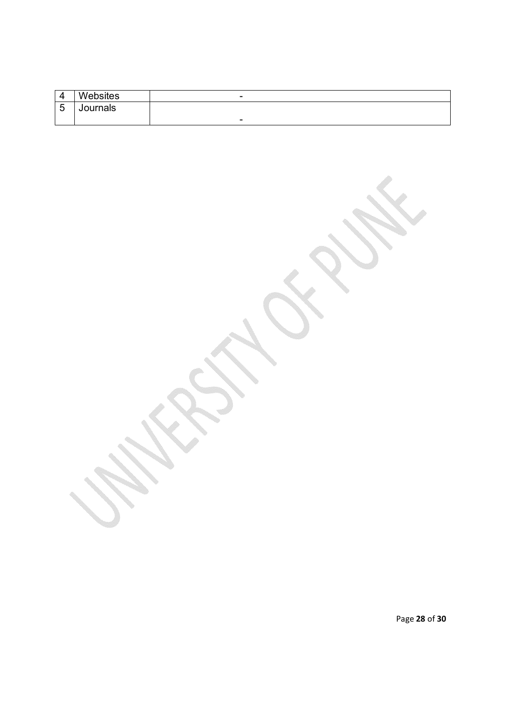|        | Websites | $\overline{\phantom{0}}$ |
|--------|----------|--------------------------|
| -<br>ັ | Journals |                          |
|        |          | $\overline{\phantom{0}}$ |

Page **28** of **30**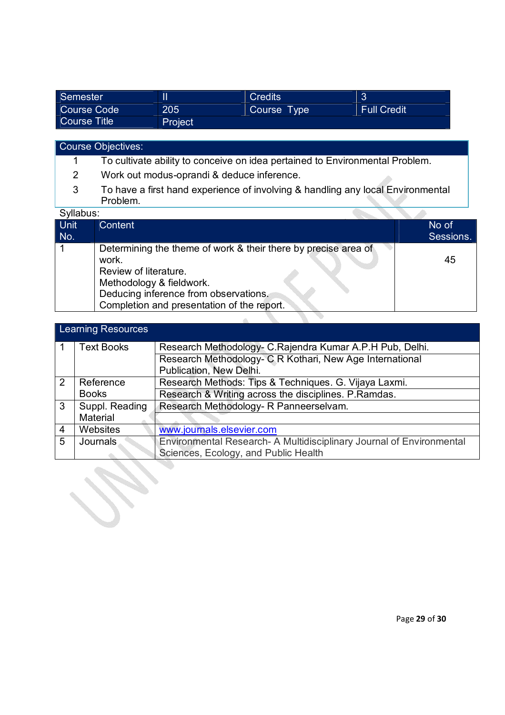| Semester     |         | <b>Credits</b> | ാ<br>N             |
|--------------|---------|----------------|--------------------|
| Course Code  | 205     | Course Type    | <b>Full Credit</b> |
| Course Title | Project |                |                    |

# Course Objectives:

**Contract Contract Contract Contract Contract Contract Contract Contract Contract Contract Contract Contract C Service** 

- 1 To cultivate ability to conceive on idea pertained to Environmental Problem.
- 2 Work out modus-oprandi & deduce inference.
- 3 To have a first hand experience of involving & handling any local Environmental Problem.

#### Syllabus:

| <u>onnavuo</u> . |                                                                |           |
|------------------|----------------------------------------------------------------|-----------|
| Unit             | Content                                                        | No of     |
| No.              |                                                                | Sessions. |
|                  | Determining the theme of work & their there by precise area of |           |
|                  | work.                                                          | 45        |
|                  | Review of literature.                                          |           |
|                  | Methodology & fieldwork.                                       |           |
|                  | Deducing inference from observations.                          |           |
|                  | Completion and presentation of the report.                     |           |
|                  |                                                                |           |

| <b>Learning Resources</b> |                   |                                                                      |  |  |  |
|---------------------------|-------------------|----------------------------------------------------------------------|--|--|--|
|                           |                   |                                                                      |  |  |  |
|                           | <b>Text Books</b> | Research Methodology- C. Rajendra Kumar A.P. H Pub, Delhi.           |  |  |  |
|                           |                   | Research Methodology- C R Kothari, New Age International             |  |  |  |
|                           |                   | Publication, New Delhi.                                              |  |  |  |
| $\mathcal{P}$             | Reference         | Research Methods: Tips & Techniques. G. Vijaya Laxmi.                |  |  |  |
|                           | <b>Books</b>      | Research & Writing across the disciplines. P.Ramdas.                 |  |  |  |
| 3                         | Suppl. Reading    | Research Methodology- R Panneerselvam.                               |  |  |  |
|                           | Material          |                                                                      |  |  |  |
| $\overline{4}$            | Websites          | www.journals.elsevier.com                                            |  |  |  |
| 5                         | Journals          | Environmental Research- A Multidisciplinary Journal of Environmental |  |  |  |
|                           |                   | Sciences, Ecology, and Public Health                                 |  |  |  |

llis